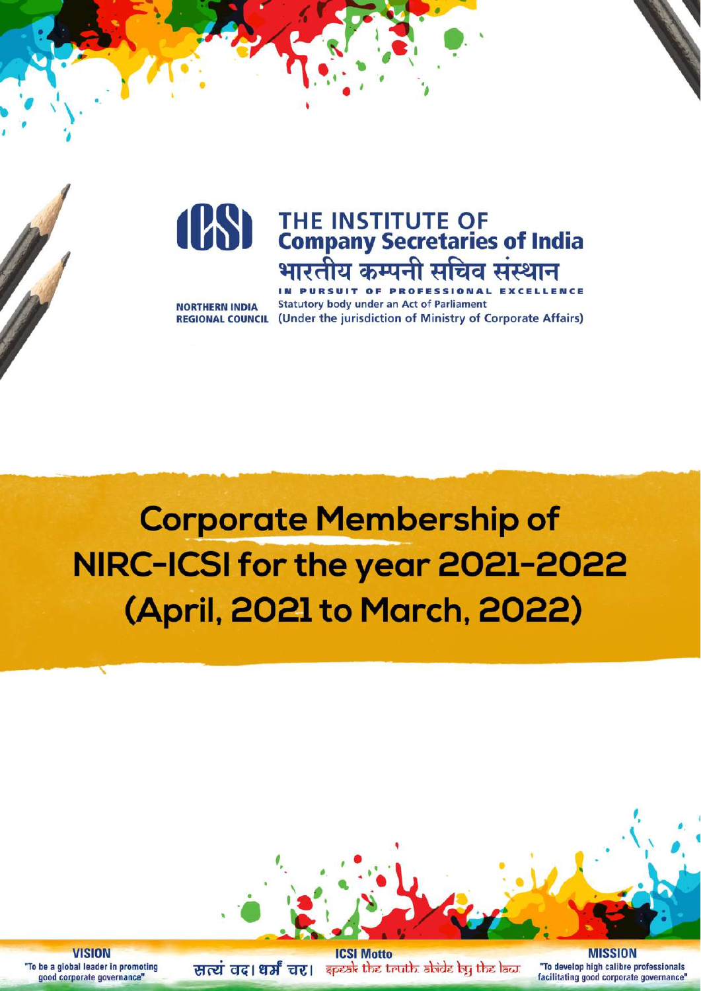

**NORTHERN INDIA** 

IN PURSUIT OF PROFESSIONAL **Statutory body under an Act of Parliament REGIONAL COUNCIL** (Under the jurisdiction of Ministry of Corporate Affairs)

**Corporate Membership of** NIRC-ICSI for the year 2021-2022 (April, 2021 to March, 2022)



**VISION** "To be a global leader in promoting good corporate governance"

**ICSI Motto** सत्यं वद। धर्मं चर। कृष्क्षे the truth abide by the law.

**MISSION** "To develop high calibre professionals facilitating good corporate governance"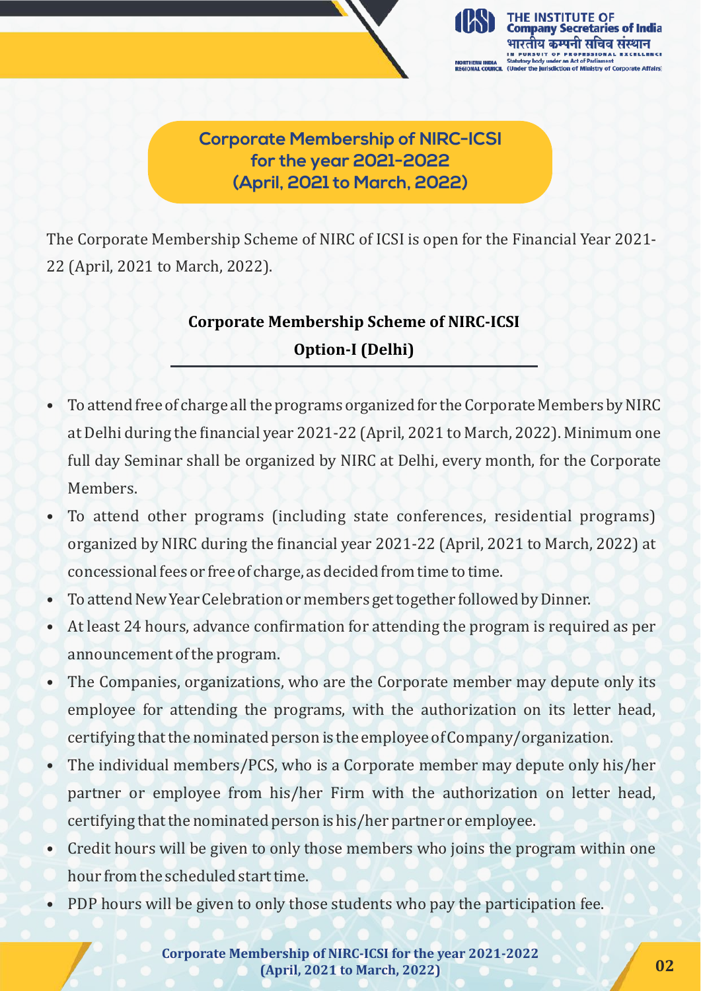

**Corporate Membership of NIRC-ICSI for the year 2021-2022 (April, 2021 to March, 2022)**

The Corporate Membership Scheme of NIRC of ICSI is open for the Financial Year 2021- 22 (April, 2021 to March, 2022).

# **Corporate Membership Scheme of NIRC-ICSI Option-I (Delhi)**

- To attend free of charge all the programs organized for the Corporate Members by NIRC at Delhi during the financial year 2021-22 (April, 2021 to March, 2022). Minimum one full day Seminar shall be organized by NIRC at Delhi, every month, for the Corporate Members.
- To attend other programs (including state conferences, residential programs) organized by NIRC during the financial year 2021-22 (April, 2021 to March, 2022) at concessional fees or free of charge, as decided from time to time.
- To attend New Year Celebration or members get together followed by Dinner.
- At least 24 hours, advance confirmation for attending the program is required as per announcement of the program.
- The Companies, organizations, who are the Corporate member may depute only its employee for attending the programs, with the authorization on its letter head, certifying that the nominated person is the employee of Company/organization.
- The individual members/PCS, who is a Corporate member may depute only his/her partner or employee from his/her Firm with the authorization on letter head, certifying that the nominated person is his/her partner or employee.
- Credit hours will be given to only those members who joins the program within one hour from the scheduled start time.
- PDP hours will be given to only those students who pay the participation fee.

Corporate Membership of NIRC-ICSI for the year 2021-2022 **(April, 2021 to March, 2022) 02**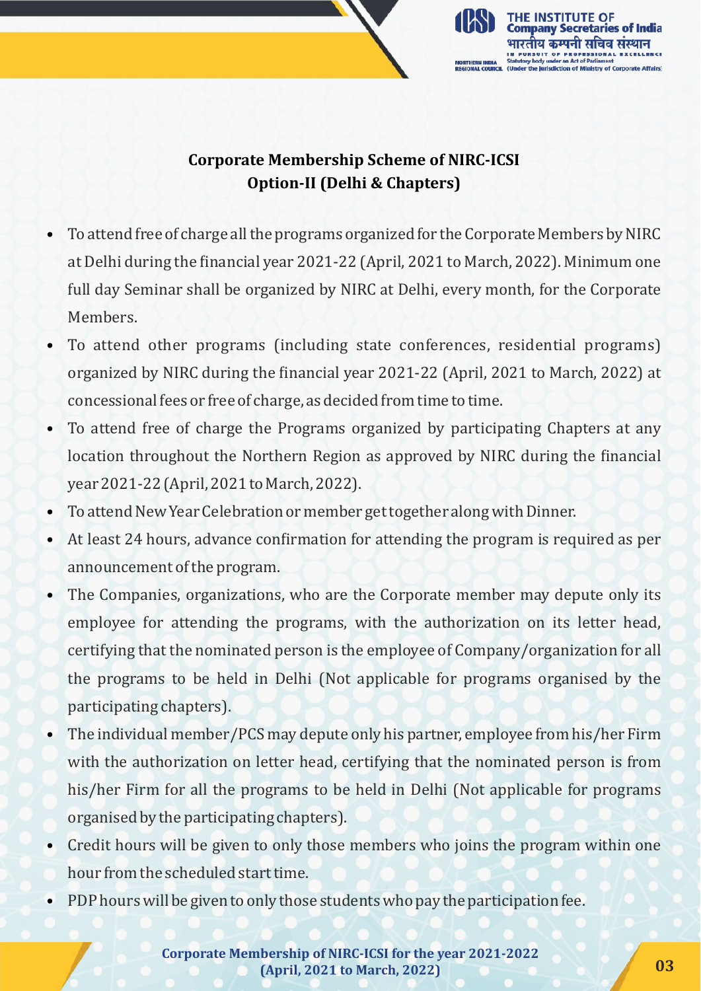

#### **Corporate Membership Scheme of NIRC-ICSI Option-II** (Delhi & Chapters)

- To attend free of charge all the programs organized for the Corporate Members by NIRC at Delhi during the financial year 2021-22 (April, 2021 to March, 2022). Minimum one full day Seminar shall be organized by NIRC at Delhi, every month, for the Corporate Members.
- To attend other programs (including state conferences, residential programs) organized by NIRC during the financial year 2021-22 (April, 2021 to March, 2022) at concessional fees or free of charge, as decided from time to time.
- To attend free of charge the Programs organized by participating Chapters at any location throughout the Northern Region as approved by NIRC during the financial year 2021-22 (April, 2021 to March, 2022).
- To attend New Year Celebration or member get together along with Dinner.
- At least 24 hours, advance confirmation for attending the program is required as per announcement of the program.
- The Companies, organizations, who are the Corporate member may depute only its employee for attending the programs, with the authorization on its letter head, certifying that the nominated person is the employee of Company/organization for all the programs to be held in Delhi (Not applicable for programs organised by the participating chapters).
- The individual member/PCS may depute only his partner, employee from his/her Firm with the authorization on letter head, certifying that the nominated person is from his/her Firm for all the programs to be held in Delhi (Not applicable for programs organised by the participating chapters).
- Credit hours will be given to only those members who joins the program within one hour from the scheduled start time.
- PDP hours will be given to only those students who pay the participation fee.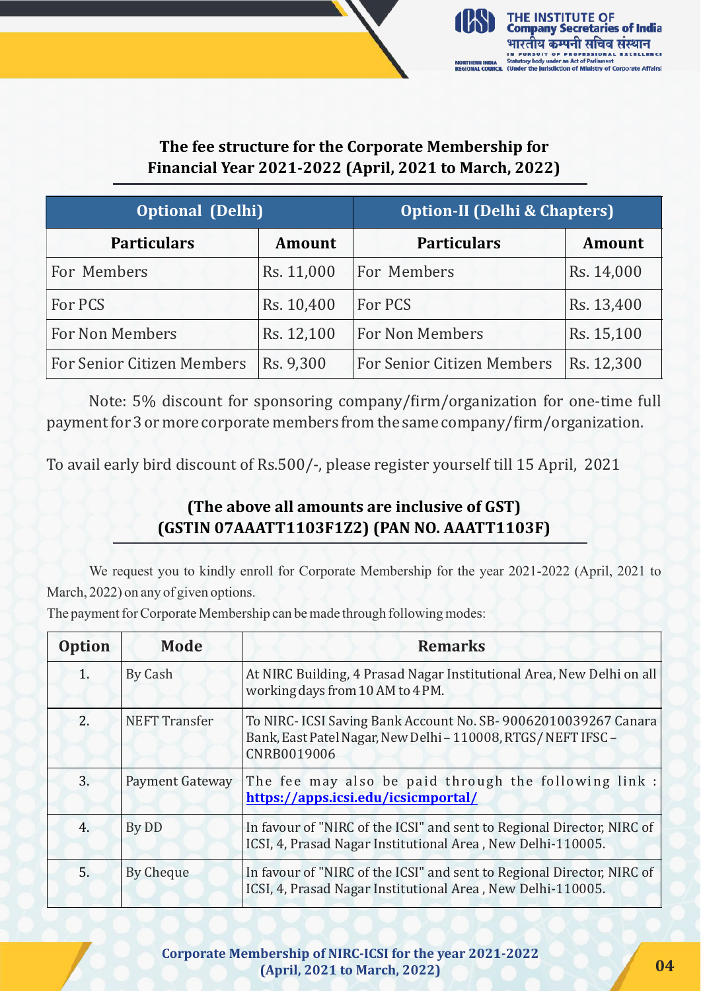

#### The fee structure for the Corporate Membership for **Financial Year 2021-2022 (April, 2021 to March, 2022)**

| <b>Optional (Delhi)</b>           |               | <b>Option-II (Delhi &amp; Chapters)</b> |               |
|-----------------------------------|---------------|-----------------------------------------|---------------|
| <b>Particulars</b>                | <b>Amount</b> | <b>Particulars</b>                      | <b>Amount</b> |
| For Members                       | Rs. 11,000    | For Members                             | Rs. 14,000    |
| For PCS                           | Rs. 10,400    | For PCS                                 | Rs. 13,400    |
| For Non Members                   | Rs. 12,100    | <b>For Non Members</b>                  | Rs. 15,100    |
| <b>For Senior Citizen Members</b> | Rs. 9,300     | <b>For Senior Citizen Members</b>       | Rs. 12,300    |

Note: 5% discount for sponsoring company/firm/organization for one-time full payment for 3 or more corporate members from the same company/firm/organization.

To avail early bird discount of Rs.500/-, please register yourself till 15 April, 2021

### **(The above all amounts are inclusive of GST) (GSTIN 07AAATT1103F1Z2) (PAN NO. AAATT1103F)**

We request you to kindly enroll for Corporate Membership for the year 2021-2022 (April, 2021 to March, 2022) on any of given options.

The payment for Corporate Membership can be made through following modes:

| <b>Option</b> | Mode                 | <b>Remarks</b>                                                                                                                                |
|---------------|----------------------|-----------------------------------------------------------------------------------------------------------------------------------------------|
| 1.            | By Cash              | At NIRC Building, 4 Prasad Nagar Institutional Area, New Delhi on all<br>working days from 10 AM to 4 PM.                                     |
| 2.            | <b>NEFT Transfer</b> | To NIRC- ICSI Saving Bank Account No. SB-90062010039267 Canara<br>Bank, East Patel Nagar, New Delhi - 110008, RTGS/NEFT IFSC -<br>CNRB0019006 |
| 3.            | Payment Gateway      | The fee may also be paid through the following link :<br>https://apps.icsi.edu/icsicmportal/                                                  |
| 4.            | By DD                | In favour of "NIRC of the ICSI" and sent to Regional Director, NIRC of<br>ICSI, 4, Prasad Nagar Institutional Area, New Delhi-110005.         |
| 5.            | By Cheque            | In favour of "NIRC of the ICSI" and sent to Regional Director, NIRC of<br>ICSI, 4, Prasad Nagar Institutional Area, New Delhi-110005.         |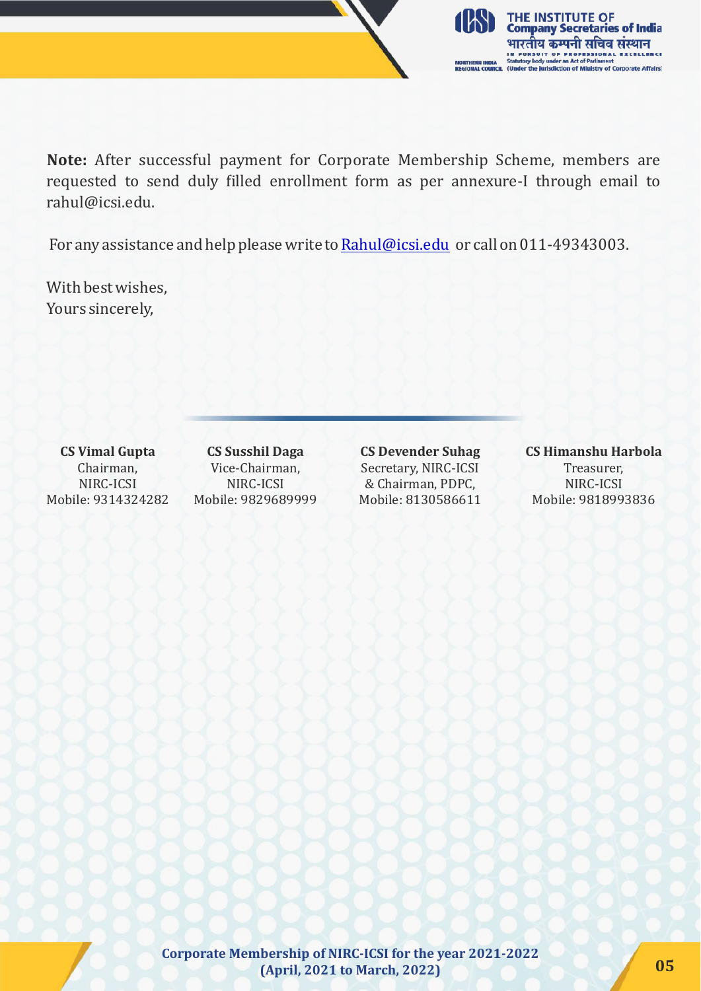

**Note:** After successful payment for Corporate Membership Scheme, members are requested to send duly illed enrollment form as per annexure-I through email to rahul@icsi.edu.

For any assistance and help please write to [Rahul@icsi.edu](mailto:Rahul@icsi.edu) or call on 011-49343003.

With best wishes, Yours sincerely,

**CS Vimal Gupta** Chairman, NIRC-ICSI Mobile: 9314324282

**CS Susshil Daga** Vice-Chairman, NIRC-ICSI Mobile: 9829689999 **CS Devender Suhag** Secretary, NIRC-ICSI & Chairman, PDPC, Mobile: 8130586611

**CS Himanshu Harbola** Treasurer, NIRC-ICSI Mobile: 9818993836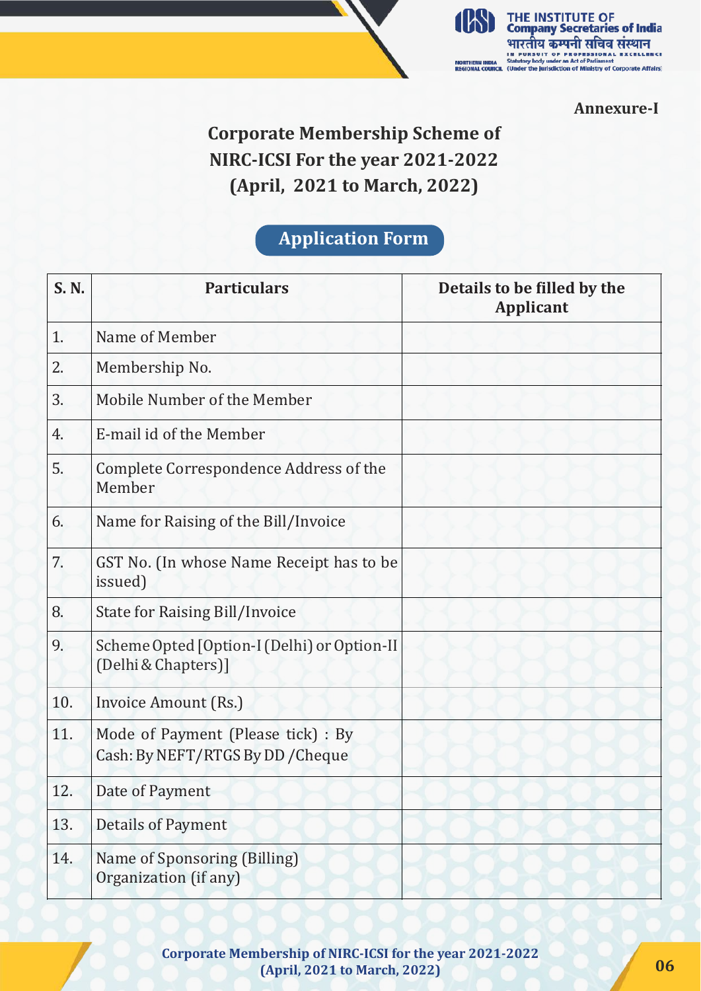

**Annexure-I**

# **Corporate Membership Scheme of NIRC-ICSI For the year 2021-2022 (April, 2021 to March, 2022)**

### **Application Form**

| S. N. | <b>Particulars</b>                                                      | Details to be filled by the<br><b>Applicant</b> |
|-------|-------------------------------------------------------------------------|-------------------------------------------------|
| 1.    | Name of Member                                                          |                                                 |
| 2.    | Membership No.                                                          |                                                 |
| 3.    | Mobile Number of the Member                                             |                                                 |
| 4.    | E-mail id of the Member                                                 |                                                 |
| 5.    | Complete Correspondence Address of the<br>Member                        |                                                 |
| 6.    | Name for Raising of the Bill/Invoice                                    |                                                 |
| 7.    | GST No. (In whose Name Receipt has to be<br>issued)                     |                                                 |
| 8.    | <b>State for Raising Bill/Invoice</b>                                   |                                                 |
| 9.    | Scheme Opted [Option-I (Delhi) or Option-II<br>(Delhi & Chapters)]      |                                                 |
| 10.   | Invoice Amount (Rs.)                                                    |                                                 |
| 11.   | Mode of Payment (Please tick) : By<br>Cash: By NEFT/RTGS By DD / Cheque |                                                 |
| 12.   | Date of Payment                                                         |                                                 |
| 13.   | <b>Details of Payment</b>                                               |                                                 |
| 14.   | Name of Sponsoring (Billing)<br>Organization (if any)                   |                                                 |